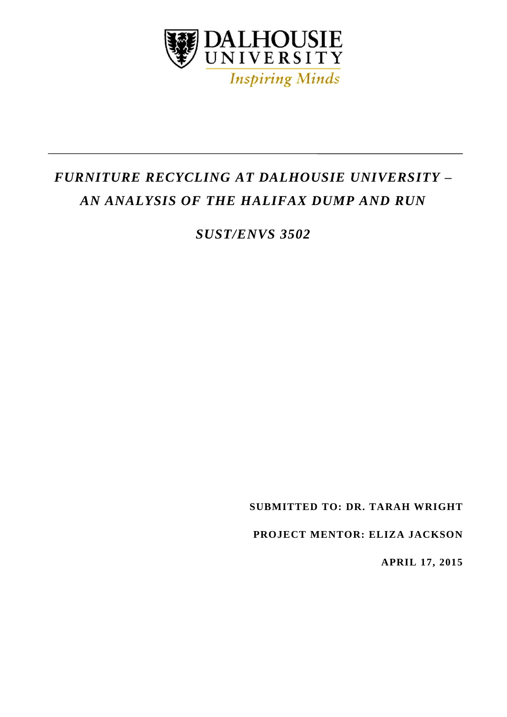

# *FURNITURE RECYCLING AT DALHOUSIE UNIVERSITY – AN ANALYSIS OF THE HALIFAX DUMP AND RUN*

*SUST/ENVS 3502*

**SUBMITTED TO: DR. TARAH WRIGHT** 

**PROJECT MENTOR: ELIZA JACKSON**

 **APRIL 17, 2015**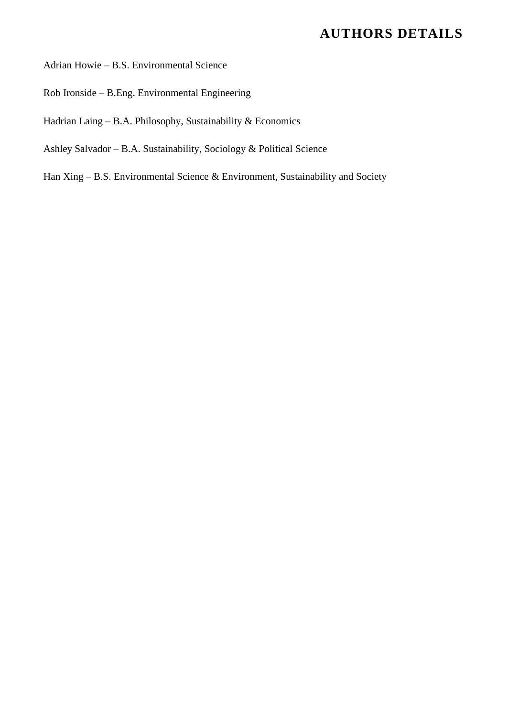## **AUTHORS DETAILS**

Adrian Howie – B.S. Environmental Science

- Rob Ironside B.Eng. Environmental Engineering
- Hadrian Laing B.A. Philosophy, Sustainability & Economics
- Ashley Salvador B.A. Sustainability, Sociology & Political Science

Han Xing – B.S. Environmental Science & Environment, Sustainability and Society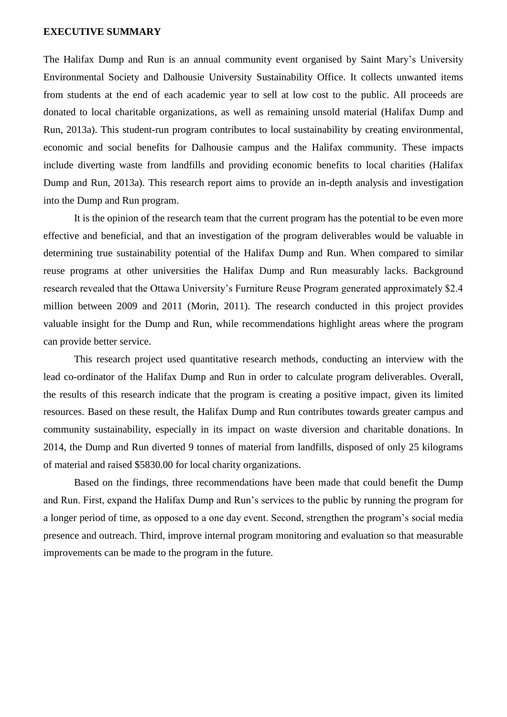#### <span id="page-2-0"></span>**EXECUTIVE SUMMARY**

The Halifax Dump and Run is an annual community event organised by Saint Mary's University Environmental Society and Dalhousie University Sustainability Office. It collects unwanted items from students at the end of each academic year to sell at low cost to the public. All proceeds are donated to local charitable organizations, as well as remaining unsold material (Halifax Dump and Run, 2013a). This student-run program contributes to local sustainability by creating environmental, economic and social benefits for Dalhousie campus and the Halifax community. These impacts include diverting waste from landfills and providing economic benefits to local charities (Halifax Dump and Run, 2013a). This research report aims to provide an in-depth analysis and investigation into the Dump and Run program.

It is the opinion of the research team that the current program has the potential to be even more effective and beneficial, and that an investigation of the program deliverables would be valuable in determining true sustainability potential of the Halifax Dump and Run. When compared to similar reuse programs at other universities the Halifax Dump and Run measurably lacks. Background research revealed that the Ottawa University's Furniture Reuse Program generated approximately \$2.4 million between 2009 and 2011 (Morin, 2011). The research conducted in this project provides valuable insight for the Dump and Run, while recommendations highlight areas where the program can provide better service.

This research project used quantitative research methods, conducting an interview with the lead co-ordinator of the Halifax Dump and Run in order to calculate program deliverables. Overall, the results of this research indicate that the program is creating a positive impact, given its limited resources. Based on these result, the Halifax Dump and Run contributes towards greater campus and community sustainability, especially in its impact on waste diversion and charitable donations. In 2014, the Dump and Run diverted 9 tonnes of material from landfills, disposed of only 25 kilograms of material and raised \$5830.00 for local charity organizations.

Based on the findings, three recommendations have been made that could benefit the Dump and Run. First, expand the Halifax Dump and Run's services to the public by running the program for a longer period of time, as opposed to a one day event. Second, strengthen the program's social media presence and outreach. Third, improve internal program monitoring and evaluation so that measurable improvements can be made to the program in the future.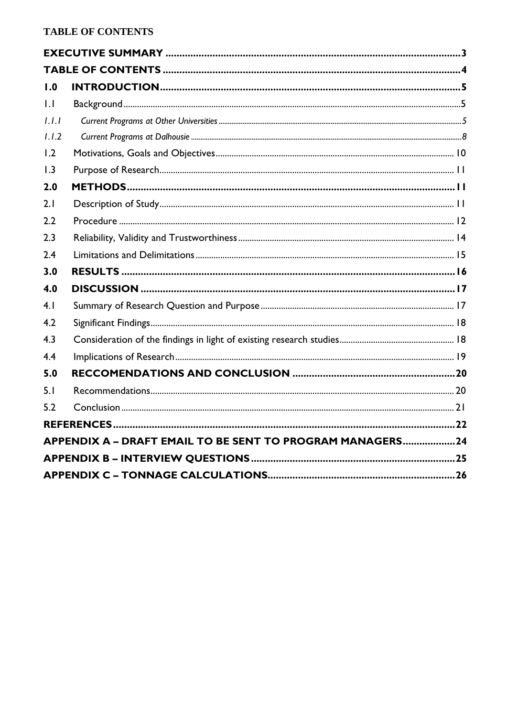<span id="page-3-0"></span>

| 1.1                                                       |  |  |  |
|-----------------------------------------------------------|--|--|--|
| 1.1.1                                                     |  |  |  |
| 1.1.2                                                     |  |  |  |
| 1.2                                                       |  |  |  |
| 1.3                                                       |  |  |  |
| 2.0                                                       |  |  |  |
| 2.1                                                       |  |  |  |
| 2.2                                                       |  |  |  |
| 2.3                                                       |  |  |  |
| 2.4                                                       |  |  |  |
| 3.0                                                       |  |  |  |
| 4.0                                                       |  |  |  |
| 4.1                                                       |  |  |  |
| 4.2                                                       |  |  |  |
| 4.3                                                       |  |  |  |
| 4.4                                                       |  |  |  |
| 5.0                                                       |  |  |  |
| 5.1                                                       |  |  |  |
| 5.2                                                       |  |  |  |
|                                                           |  |  |  |
| APPENDIX A - DRAFT EMAIL TO BE SENT TO PROGRAM MANAGERS24 |  |  |  |
|                                                           |  |  |  |
|                                                           |  |  |  |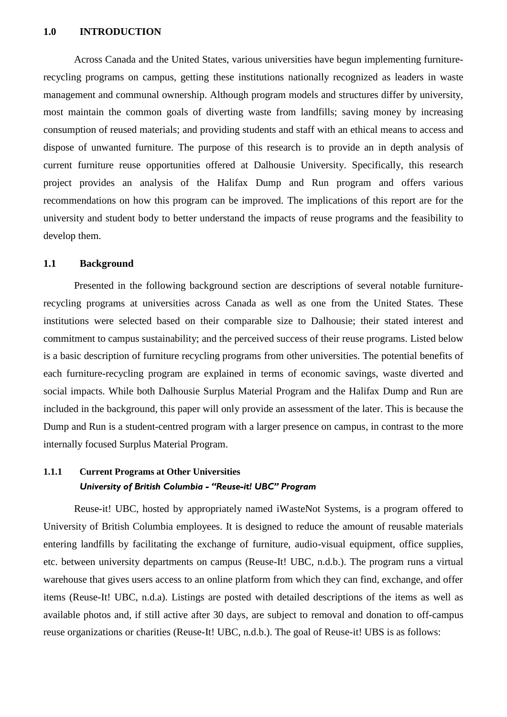#### <span id="page-4-0"></span>**1.0 INTRODUCTION**

Across Canada and the United States, various universities have begun implementing furniturerecycling programs on campus, getting these institutions nationally recognized as leaders in waste management and communal ownership. Although program models and structures differ by university, most maintain the common goals of diverting waste from landfills; saving money by increasing consumption of reused materials; and providing students and staff with an ethical means to access and dispose of unwanted furniture. The purpose of this research is to provide an in depth analysis of current furniture reuse opportunities offered at Dalhousie University. Specifically, this research project provides an analysis of the Halifax Dump and Run program and offers various recommendations on how this program can be improved. The implications of this report are for the university and student body to better understand the impacts of reuse programs and the feasibility to develop them.

#### <span id="page-4-1"></span>**1.1 Background**

Presented in the following background section are descriptions of several notable furniturerecycling programs at universities across Canada as well as one from the United States. These institutions were selected based on their comparable size to Dalhousie; their stated interest and commitment to campus sustainability; and the perceived success of their reuse programs. Listed below is a basic description of furniture recycling programs from other universities. The potential benefits of each furniture-recycling program are explained in terms of economic savings, waste diverted and social impacts. While both Dalhousie Surplus Material Program and the Halifax Dump and Run are included in the background, this paper will only provide an assessment of the later. This is because the Dump and Run is a student-centred program with a larger presence on campus, in contrast to the more internally focused Surplus Material Program.

## <span id="page-4-2"></span>**1.1.1 Current Programs at Other Universities** *University of British Columbia - "Reuse-it! UBC" Program*

Reuse-it! UBC, hosted by appropriately named iWasteNot Systems, is a program offered to University of British Columbia employees. It is designed to reduce the amount of reusable materials entering landfills by facilitating the exchange of furniture, audio-visual equipment, office supplies, etc. between university departments on campus (Reuse-It! UBC, n.d.b.). The program runs a virtual warehouse that gives users access to an online platform from which they can find, exchange, and offer items (Reuse-It! UBC, n.d.a). Listings are posted with detailed descriptions of the items as well as available photos and, if still active after 30 days, are subject to removal and donation to off-campus reuse organizations or charities (Reuse-It! UBC, n.d.b.). The goal of Reuse-it! UBS is as follows: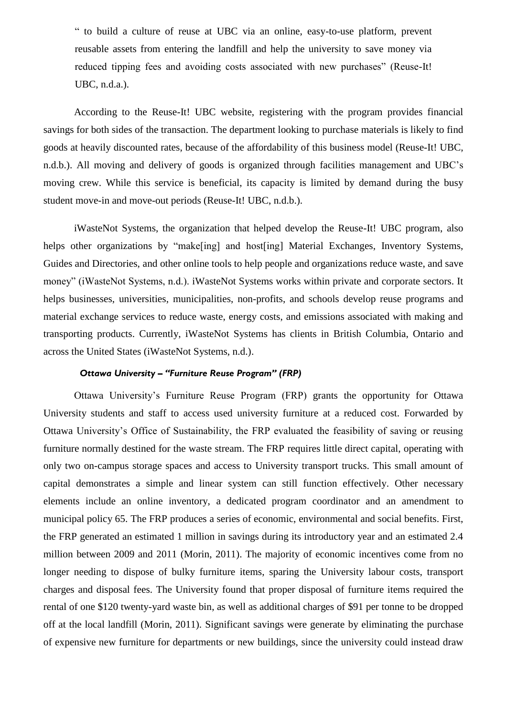" to build a culture of reuse at UBC via an online, easy-to-use platform, prevent reusable assets from entering the landfill and help the university to save money via reduced tipping fees and avoiding costs associated with new purchases" (Reuse-It! UBC, n.d.a.).

According to the Reuse-It! UBC website, registering with the program provides financial savings for both sides of the transaction. The department looking to purchase materials is likely to find goods at heavily discounted rates, because of the affordability of this business model (Reuse-It! UBC, n.d.b.). All moving and delivery of goods is organized through facilities management and UBC's moving crew. While this service is beneficial, its capacity is limited by demand during the busy student move-in and move-out periods (Reuse-It! UBC, n.d.b.).

iWasteNot Systems, the organization that helped develop the Reuse-It! UBC program, also helps other organizations by "make<sup>[ing]</sup> and host<sup>[ing]</sup> Material Exchanges, Inventory Systems, Guides and Directories, and other online tools to help people and organizations reduce waste, and save money" (iWasteNot Systems, n.d.). iWasteNot Systems works within private and corporate sectors. It helps businesses, universities, municipalities, non-profits, and schools develop reuse programs and material exchange services to reduce waste, energy costs, and emissions associated with making and transporting products. Currently, iWasteNot Systems has clients in British Columbia, Ontario and across the United States (iWasteNot Systems, n.d.).

#### *Ottawa University – "Furniture Reuse Program" (FRP)*

Ottawa University's Furniture Reuse Program (FRP) grants the opportunity for Ottawa University students and staff to access used university furniture at a reduced cost. Forwarded by Ottawa University's Office of Sustainability, the FRP evaluated the feasibility of saving or reusing furniture normally destined for the waste stream. The FRP requires little direct capital, operating with only two on-campus storage spaces and access to University transport trucks. This small amount of capital demonstrates a simple and linear system can still function effectively. Other necessary elements include an online inventory, a dedicated program coordinator and an amendment to municipal policy 65. The FRP produces a series of economic, environmental and social benefits. First, the FRP generated an estimated 1 million in savings during its introductory year and an estimated 2.4 million between 2009 and 2011 (Morin, 2011). The majority of economic incentives come from no longer needing to dispose of bulky furniture items, sparing the University labour costs, transport charges and disposal fees. The University found that proper disposal of furniture items required the rental of one \$120 twenty-yard waste bin, as well as additional charges of \$91 per tonne to be dropped off at the local landfill (Morin, 2011). Significant savings were generate by eliminating the purchase of expensive new furniture for departments or new buildings, since the university could instead draw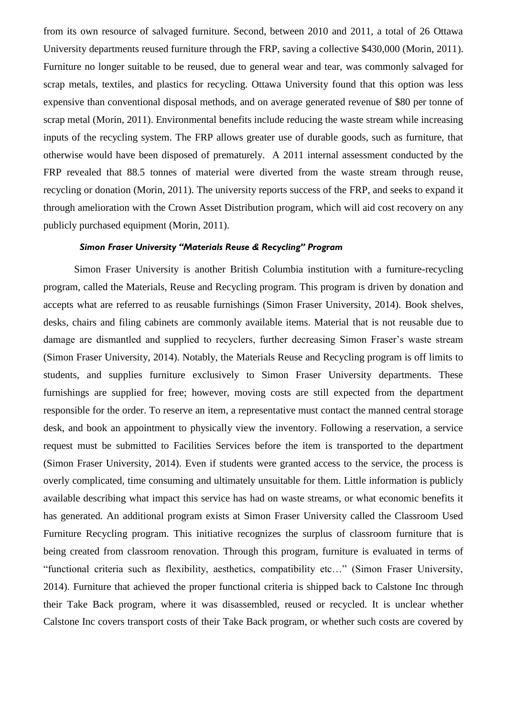from its own resource of salvaged furniture. Second, between 2010 and 2011, a total of 26 Ottawa University departments reused furniture through the FRP, saving a collective \$430,000 (Morin, 2011). Furniture no longer suitable to be reused, due to general wear and tear, was commonly salvaged for scrap metals, textiles, and plastics for recycling. Ottawa University found that this option was less expensive than conventional disposal methods, and on average generated revenue of \$80 per tonne of scrap metal (Morin, 2011). Environmental benefits include reducing the waste stream while increasing inputs of the recycling system. The FRP allows greater use of durable goods, such as furniture, that otherwise would have been disposed of prematurely. A 2011 internal assessment conducted by the FRP revealed that 88.5 tonnes of material were diverted from the waste stream through reuse, recycling or donation (Morin, 2011). The university reports success of the FRP, and seeks to expand it through amelioration with the Crown Asset Distribution program, which will aid cost recovery on any publicly purchased equipment (Morin, 2011).

#### *Simon Fraser University "Materials Reuse & Recycling" Program*

Simon Fraser University is another British Columbia institution with a furniture-recycling program, called the Materials, Reuse and Recycling program. This program is driven by donation and accepts what are referred to as reusable furnishings (Simon Fraser University, 2014). Book shelves, desks, chairs and filing cabinets are commonly available items. Material that is not reusable due to damage are dismantled and supplied to recyclers, further decreasing Simon Fraser's waste stream (Simon Fraser University, 2014). Notably, the Materials Reuse and Recycling program is off limits to students, and supplies furniture exclusively to Simon Fraser University departments. These furnishings are supplied for free; however, moving costs are still expected from the department responsible for the order. To reserve an item, a representative must contact the manned central storage desk, and book an appointment to physically view the inventory. Following a reservation, a service request must be submitted to Facilities Services before the item is transported to the department (Simon Fraser University, 2014). Even if students were granted access to the service, the process is overly complicated, time consuming and ultimately unsuitable for them. Little information is publicly available describing what impact this service has had on waste streams, or what economic benefits it has generated. An additional program exists at Simon Fraser University called the Classroom Used Furniture Recycling program. This initiative recognizes the surplus of classroom furniture that is being created from classroom renovation. Through this program, furniture is evaluated in terms of "functional criteria such as flexibility, aesthetics, compatibility etc…" (Simon Fraser University, 2014). Furniture that achieved the proper functional criteria is shipped back to Calstone Inc through their Take Back program, where it was disassembled, reused or recycled. It is unclear whether Calstone Inc covers transport costs of their Take Back program, or whether such costs are covered by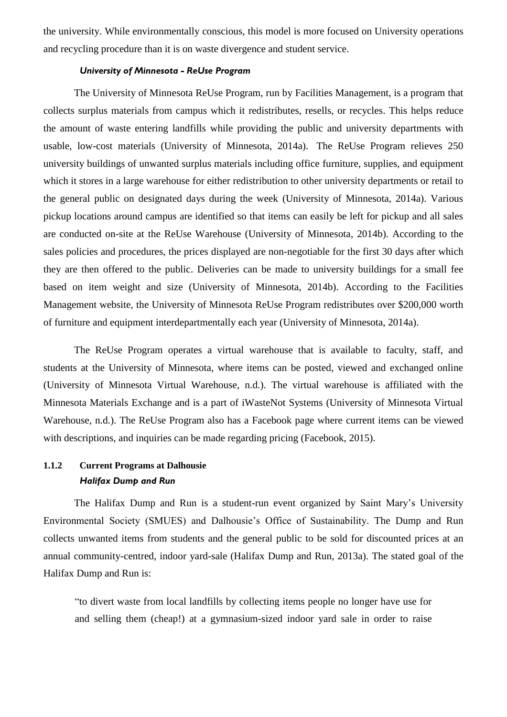the university. While environmentally conscious, this model is more focused on University operations and recycling procedure than it is on waste divergence and student service.

#### *University of Minnesota - ReUse Program*

The University of Minnesota ReUse Program, run by Facilities Management, is a program that collects surplus materials from campus which it redistributes, resells, or recycles. This helps reduce the amount of waste entering landfills while providing the public and university departments with usable, low-cost materials (University of Minnesota, 2014a). The ReUse Program relieves 250 university buildings of unwanted surplus materials including office furniture, supplies, and equipment which it stores in a large warehouse for either redistribution to other university departments or retail to the general public on designated days during the week (University of Minnesota, 2014a). Various pickup locations around campus are identified so that items can easily be left for pickup and all sales are conducted on-site at the ReUse Warehouse (University of Minnesota, 2014b). According to the sales policies and procedures, the prices displayed are non-negotiable for the first 30 days after which they are then offered to the public. Deliveries can be made to university buildings for a small fee based on item weight and size (University of Minnesota, 2014b). According to the Facilities Management website, the University of Minnesota ReUse Program redistributes over \$200,000 worth of furniture and equipment interdepartmentally each year (University of Minnesota, 2014a).

The ReUse Program operates a virtual warehouse that is available to faculty, staff, and students at the University of Minnesota, where items can be posted, viewed and exchanged online (University of Minnesota Virtual Warehouse, n.d.). The virtual warehouse is affiliated with the Minnesota Materials Exchange and is a part of iWasteNot Systems (University of Minnesota Virtual Warehouse, n.d.). The ReUse Program also has a Facebook page where current items can be viewed with descriptions, and inquiries can be made regarding pricing (Facebook, 2015).

## <span id="page-7-0"></span>**1.1.2 Current Programs at Dalhousie**  *Halifax Dump and Run*

The Halifax Dump and Run is a student-run event organized by Saint Mary's University Environmental Society (SMUES) and Dalhousie's Office of Sustainability. The Dump and Run collects unwanted items from students and the general public to be sold for discounted prices at an annual community-centred, indoor yard-sale (Halifax Dump and Run, 2013a). The stated goal of the Halifax Dump and Run is:

"to divert waste from local landfills by collecting items people no longer have use for and selling them (cheap!) at a gymnasium-sized indoor yard sale in order to raise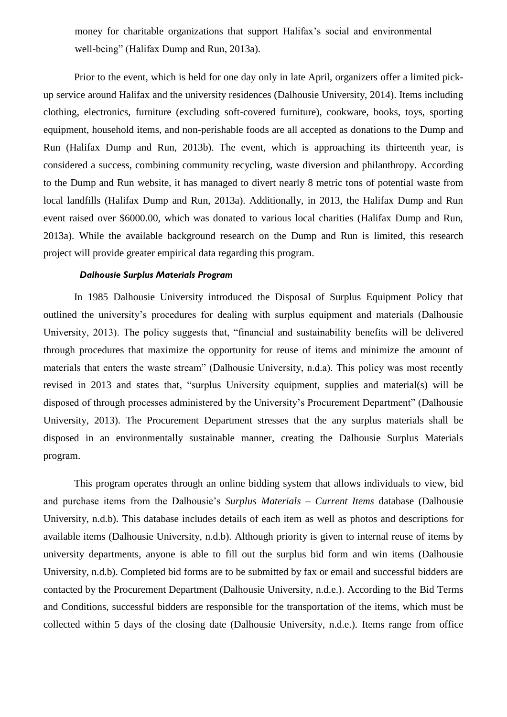money for charitable organizations that support Halifax's social and environmental well-being" (Halifax Dump and Run, 2013a).

Prior to the event, which is held for one day only in late April, organizers offer a limited pickup service around Halifax and the university residences (Dalhousie University, 2014). Items including clothing, electronics, furniture (excluding soft-covered furniture), cookware, books, toys, sporting equipment, household items, and non-perishable foods are all accepted as donations to the Dump and Run (Halifax Dump and Run, 2013b). The event, which is approaching its thirteenth year, is considered a success, combining community recycling, waste diversion and philanthropy. According to the Dump and Run website, it has managed to divert nearly 8 metric tons of potential waste from local landfills (Halifax Dump and Run, 2013a). Additionally, in 2013, the Halifax Dump and Run event raised over \$6000.00, which was donated to various local charities (Halifax Dump and Run, 2013a). While the available background research on the Dump and Run is limited, this research project will provide greater empirical data regarding this program.

#### *Dalhousie Surplus Materials Program*

In 1985 Dalhousie University introduced the Disposal of Surplus Equipment Policy that outlined the university's procedures for dealing with surplus equipment and materials (Dalhousie University, 2013). The policy suggests that, "financial and sustainability benefits will be delivered through procedures that maximize the opportunity for reuse of items and minimize the amount of materials that enters the waste stream" (Dalhousie University, n.d.a). This policy was most recently revised in 2013 and states that, "surplus University equipment, supplies and material(s) will be disposed of through processes administered by the University's Procurement Department" (Dalhousie University, 2013). The Procurement Department stresses that the any surplus materials shall be disposed in an environmentally sustainable manner, creating the Dalhousie Surplus Materials program.

This program operates through an online bidding system that allows individuals to view, bid and purchase items from the Dalhousie's *Surplus Materials – Current Items* database (Dalhousie University, n.d.b). This database includes details of each item as well as photos and descriptions for available items (Dalhousie University, n.d.b). Although priority is given to internal reuse of items by university departments, anyone is able to fill out the surplus bid form and win items (Dalhousie University, n.d.b). Completed bid forms are to be submitted by fax or email and successful bidders are contacted by the Procurement Department (Dalhousie University, n.d.e.). According to the Bid Terms and Conditions, successful bidders are responsible for the transportation of the items, which must be collected within 5 days of the closing date (Dalhousie University, n.d.e.). Items range from office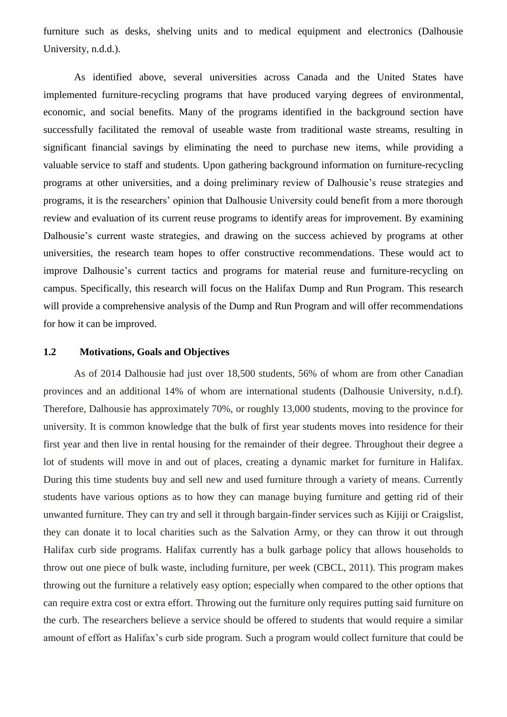furniture such as desks, shelving units and to medical equipment and electronics (Dalhousie University, n.d.d.).

As identified above, several universities across Canada and the United States have implemented furniture-recycling programs that have produced varying degrees of environmental, economic, and social benefits. Many of the programs identified in the background section have successfully facilitated the removal of useable waste from traditional waste streams, resulting in significant financial savings by eliminating the need to purchase new items, while providing a valuable service to staff and students. Upon gathering background information on furniture-recycling programs at other universities, and a doing preliminary review of Dalhousie's reuse strategies and programs, it is the researchers' opinion that Dalhousie University could benefit from a more thorough review and evaluation of its current reuse programs to identify areas for improvement. By examining Dalhousie's current waste strategies, and drawing on the success achieved by programs at other universities, the research team hopes to offer constructive recommendations. These would act to improve Dalhousie's current tactics and programs for material reuse and furniture-recycling on campus. Specifically, this research will focus on the Halifax Dump and Run Program. This research will provide a comprehensive analysis of the Dump and Run Program and will offer recommendations for how it can be improved.

#### <span id="page-9-0"></span>**1.2 Motivations, Goals and Objectives**

As of 2014 Dalhousie had just over 18,500 students, 56% of whom are from other Canadian provinces and an additional 14% of whom are international students (Dalhousie University, n.d.f). Therefore, Dalhousie has approximately 70%, or roughly 13,000 students, moving to the province for university. It is common knowledge that the bulk of first year students moves into residence for their first year and then live in rental housing for the remainder of their degree. Throughout their degree a lot of students will move in and out of places, creating a dynamic market for furniture in Halifax. During this time students buy and sell new and used furniture through a variety of means. Currently students have various options as to how they can manage buying furniture and getting rid of their unwanted furniture. They can try and sell it through bargain-finder services such as Kijiji or Craigslist, they can donate it to local charities such as the Salvation Army, or they can throw it out through Halifax curb side programs. Halifax currently has a bulk garbage policy that allows households to throw out one piece of bulk waste, including furniture, per week (CBCL, 2011). This program makes throwing out the furniture a relatively easy option; especially when compared to the other options that can require extra cost or extra effort. Throwing out the furniture only requires putting said furniture on the curb. The researchers believe a service should be offered to students that would require a similar amount of effort as Halifax's curb side program. Such a program would collect furniture that could be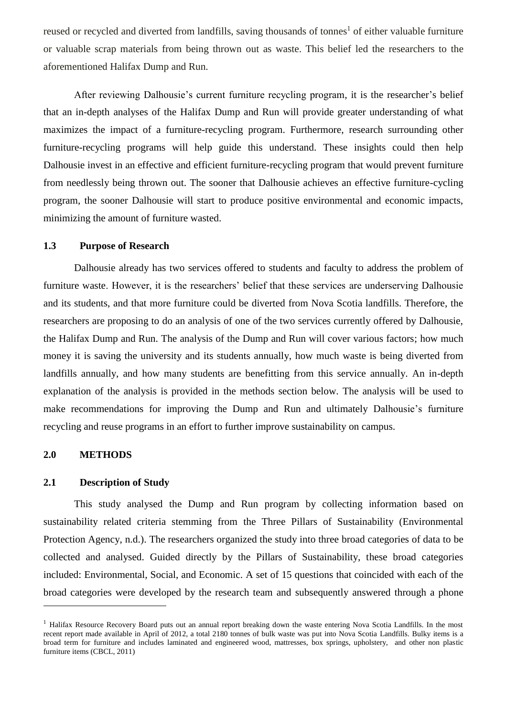reused or recycled and diverted from landfills, saving thousands of tonnes<sup>1</sup> of either valuable furniture or valuable scrap materials from being thrown out as waste. This belief led the researchers to the aforementioned Halifax Dump and Run.

After reviewing Dalhousie's current furniture recycling program, it is the researcher's belief that an in-depth analyses of the Halifax Dump and Run will provide greater understanding of what maximizes the impact of a furniture-recycling program. Furthermore, research surrounding other furniture-recycling programs will help guide this understand. These insights could then help Dalhousie invest in an effective and efficient furniture-recycling program that would prevent furniture from needlessly being thrown out. The sooner that Dalhousie achieves an effective furniture-cycling program, the sooner Dalhousie will start to produce positive environmental and economic impacts, minimizing the amount of furniture wasted.

#### <span id="page-10-0"></span>**1.3 Purpose of Research**

Dalhousie already has two services offered to students and faculty to address the problem of furniture waste. However, it is the researchers' belief that these services are underserving Dalhousie and its students, and that more furniture could be diverted from Nova Scotia landfills. Therefore, the researchers are proposing to do an analysis of one of the two services currently offered by Dalhousie, the Halifax Dump and Run. The analysis of the Dump and Run will cover various factors; how much money it is saving the university and its students annually, how much waste is being diverted from landfills annually, and how many students are benefitting from this service annually. An in-depth explanation of the analysis is provided in the methods section below. The analysis will be used to make recommendations for improving the Dump and Run and ultimately Dalhousie's furniture recycling and reuse programs in an effort to further improve sustainability on campus.

#### <span id="page-10-1"></span>**2.0 METHODS**

1

#### <span id="page-10-2"></span>**2.1 Description of Study**

This study analysed the Dump and Run program by collecting information based on sustainability related criteria stemming from the Three Pillars of Sustainability (Environmental Protection Agency, n.d.). The researchers organized the study into three broad categories of data to be collected and analysed. Guided directly by the Pillars of Sustainability, these broad categories included: Environmental, Social, and Economic. A set of 15 questions that coincided with each of the broad categories were developed by the research team and subsequently answered through a phone

<sup>&</sup>lt;sup>1</sup> Halifax Resource Recovery Board puts out an annual report breaking down the waste entering Nova Scotia Landfills. In the most recent report made available in April of 2012, a total 2180 tonnes of bulk waste was put into Nova Scotia Landfills. Bulky items is a broad term for furniture and includes laminated and engineered wood, mattresses, box springs, upholstery, and other non plastic furniture items (CBCL, 2011)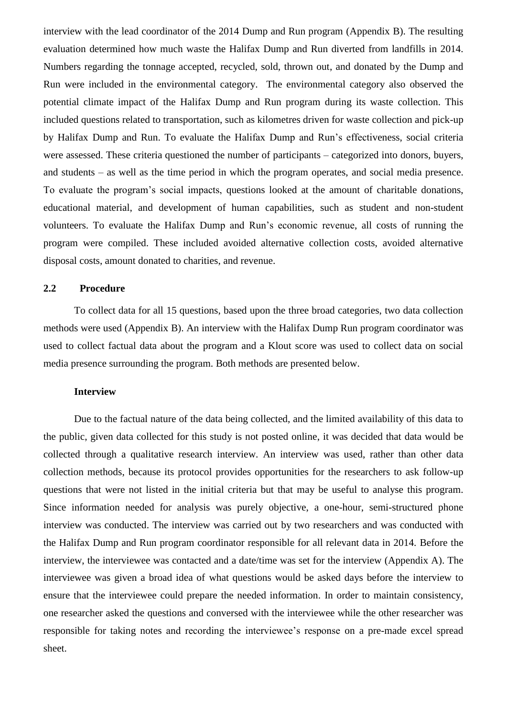interview with the lead coordinator of the 2014 Dump and Run program (Appendix B). The resulting evaluation determined how much waste the Halifax Dump and Run diverted from landfills in 2014. Numbers regarding the tonnage accepted, recycled, sold, thrown out, and donated by the Dump and Run were included in the environmental category. The environmental category also observed the potential climate impact of the Halifax Dump and Run program during its waste collection. This included questions related to transportation, such as kilometres driven for waste collection and pick-up by Halifax Dump and Run. To evaluate the Halifax Dump and Run's effectiveness, social criteria were assessed. These criteria questioned the number of participants – categorized into donors, buyers, and students – as well as the time period in which the program operates, and social media presence. To evaluate the program's social impacts, questions looked at the amount of charitable donations, educational material, and development of human capabilities, such as student and non-student volunteers. To evaluate the Halifax Dump and Run's economic revenue, all costs of running the program were compiled. These included avoided alternative collection costs, avoided alternative disposal costs, amount donated to charities, and revenue.

#### <span id="page-11-0"></span>**2.2 Procedure**

To collect data for all 15 questions, based upon the three broad categories, two data collection methods were used (Appendix B). An interview with the Halifax Dump Run program coordinator was used to collect factual data about the program and a Klout score was used to collect data on social media presence surrounding the program. Both methods are presented below.

#### **Interview**

Due to the factual nature of the data being collected, and the limited availability of this data to the public, given data collected for this study is not posted online, it was decided that data would be collected through a qualitative research interview. An interview was used, rather than other data collection methods, because its protocol provides opportunities for the researchers to ask follow-up questions that were not listed in the initial criteria but that may be useful to analyse this program. Since information needed for analysis was purely objective, a one-hour, semi-structured phone interview was conducted. The interview was carried out by two researchers and was conducted with the Halifax Dump and Run program coordinator responsible for all relevant data in 2014. Before the interview, the interviewee was contacted and a date/time was set for the interview (Appendix A). The interviewee was given a broad idea of what questions would be asked days before the interview to ensure that the interviewee could prepare the needed information. In order to maintain consistency, one researcher asked the questions and conversed with the interviewee while the other researcher was responsible for taking notes and recording the interviewee's response on a pre-made excel spread sheet.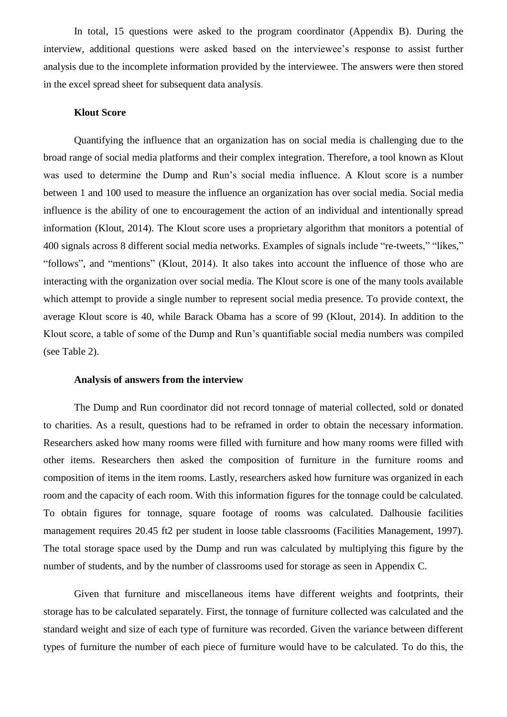In total, 15 questions were asked to the program coordinator (Appendix B). During the interview, additional questions were asked based on the interviewee's response to assist further analysis due to the incomplete information provided by the interviewee. The answers were then stored in the excel spread sheet for subsequent data analysis.

#### **Klout Score**

Quantifying the influence that an organization has on social media is challenging due to the broad range of social media platforms and their complex integration. Therefore, a tool known as Klout was used to determine the Dump and Run's social media influence. A Klout score is a number between 1 and 100 used to measure the influence an organization has over social media. Social media influence is the ability of one to encouragement the action of an individual and intentionally spread information (Klout, 2014). The Klout score uses a proprietary algorithm that monitors a potential of 400 signals across 8 different social media networks. Examples of signals include "re-tweets," "likes," "follows", and "mentions" (Klout, 2014). It also takes into account the influence of those who are interacting with the organization over social media. The Klout score is one of the many tools available which attempt to provide a single number to represent social media presence. To provide context, the average Klout score is 40, while Barack Obama has a score of 99 (Klout, 2014). In addition to the Klout score, a table of some of the Dump and Run's quantifiable social media numbers was compiled (see Table 2).

#### **Analysis of answers from the interview**

The Dump and Run coordinator did not record tonnage of material collected, sold or donated to charities. As a result, questions had to be reframed in order to obtain the necessary information. Researchers asked how many rooms were filled with furniture and how many rooms were filled with other items. Researchers then asked the composition of furniture in the furniture rooms and composition of items in the item rooms. Lastly, researchers asked how furniture was organized in each room and the capacity of each room. With this information figures for the tonnage could be calculated. To obtain figures for tonnage, square footage of rooms was calculated. Dalhousie facilities management requires 20.45 ft2 per student in loose table classrooms (Facilities Management, 1997). The total storage space used by the Dump and run was calculated by multiplying this figure by the number of students, and by the number of classrooms used for storage as seen in Appendix C.

Given that furniture and miscellaneous items have different weights and footprints, their storage has to be calculated separately. First, the tonnage of furniture collected was calculated and the standard weight and size of each type of furniture was recorded. Given the variance between different types of furniture the number of each piece of furniture would have to be calculated. To do this, the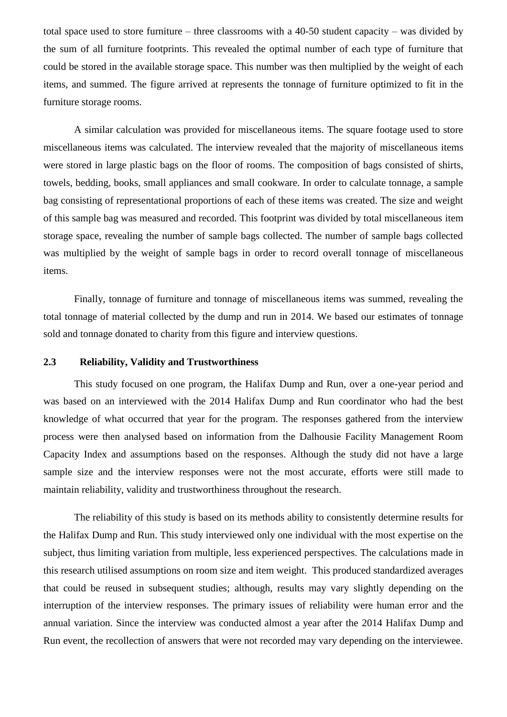total space used to store furniture – three classrooms with a 40-50 student capacity – was divided by the sum of all furniture footprints. This revealed the optimal number of each type of furniture that could be stored in the available storage space. This number was then multiplied by the weight of each items, and summed. The figure arrived at represents the tonnage of furniture optimized to fit in the furniture storage rooms.

A similar calculation was provided for miscellaneous items. The square footage used to store miscellaneous items was calculated. The interview revealed that the majority of miscellaneous items were stored in large plastic bags on the floor of rooms. The composition of bags consisted of shirts, towels, bedding, books, small appliances and small cookware. In order to calculate tonnage, a sample bag consisting of representational proportions of each of these items was created. The size and weight of this sample bag was measured and recorded. This footprint was divided by total miscellaneous item storage space, revealing the number of sample bags collected. The number of sample bags collected was multiplied by the weight of sample bags in order to record overall tonnage of miscellaneous items.

Finally, tonnage of furniture and tonnage of miscellaneous items was summed, revealing the total tonnage of material collected by the dump and run in 2014. We based our estimates of tonnage sold and tonnage donated to charity from this figure and interview questions.

#### <span id="page-13-0"></span>**2.3 Reliability, Validity and Trustworthiness**

This study focused on one program, the Halifax Dump and Run, over a one-year period and was based on an interviewed with the 2014 Halifax Dump and Run coordinator who had the best knowledge of what occurred that year for the program. The responses gathered from the interview process were then analysed based on information from the Dalhousie Facility Management Room Capacity Index and assumptions based on the responses. Although the study did not have a large sample size and the interview responses were not the most accurate, efforts were still made to maintain reliability, validity and trustworthiness throughout the research.

The reliability of this study is based on its methods ability to consistently determine results for the Halifax Dump and Run. This study interviewed only one individual with the most expertise on the subject, thus limiting variation from multiple, less experienced perspectives. The calculations made in this research utilised assumptions on room size and item weight. This produced standardized averages that could be reused in subsequent studies; although, results may vary slightly depending on the interruption of the interview responses. The primary issues of reliability were human error and the annual variation. Since the interview was conducted almost a year after the 2014 Halifax Dump and Run event, the recollection of answers that were not recorded may vary depending on the interviewee.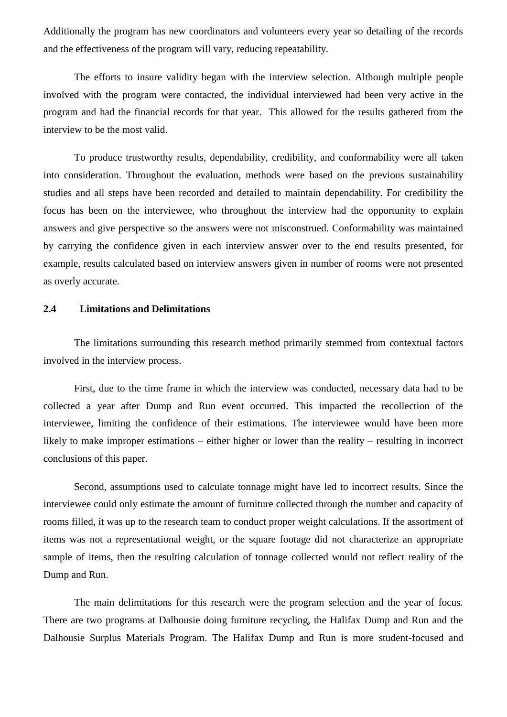Additionally the program has new coordinators and volunteers every year so detailing of the records and the effectiveness of the program will vary, reducing repeatability.

The efforts to insure validity began with the interview selection. Although multiple people involved with the program were contacted, the individual interviewed had been very active in the program and had the financial records for that year. This allowed for the results gathered from the interview to be the most valid.

To produce trustworthy results, dependability, credibility, and conformability were all taken into consideration. Throughout the evaluation, methods were based on the previous sustainability studies and all steps have been recorded and detailed to maintain dependability. For credibility the focus has been on the interviewee, who throughout the interview had the opportunity to explain answers and give perspective so the answers were not misconstrued. Conformability was maintained by carrying the confidence given in each interview answer over to the end results presented, for example, results calculated based on interview answers given in number of rooms were not presented as overly accurate**.** 

#### <span id="page-14-0"></span>**2.4 Limitations and Delimitations**

The limitations surrounding this research method primarily stemmed from contextual factors involved in the interview process.

First, due to the time frame in which the interview was conducted, necessary data had to be collected a year after Dump and Run event occurred. This impacted the recollection of the interviewee, limiting the confidence of their estimations. The interviewee would have been more likely to make improper estimations – either higher or lower than the reality – resulting in incorrect conclusions of this paper.

Second, assumptions used to calculate tonnage might have led to incorrect results. Since the interviewee could only estimate the amount of furniture collected through the number and capacity of rooms filled, it was up to the research team to conduct proper weight calculations. If the assortment of items was not a representational weight, or the square footage did not characterize an appropriate sample of items, then the resulting calculation of tonnage collected would not reflect reality of the Dump and Run.

The main delimitations for this research were the program selection and the year of focus. There are two programs at Dalhousie doing furniture recycling, the Halifax Dump and Run and the Dalhousie Surplus Materials Program. The Halifax Dump and Run is more student-focused and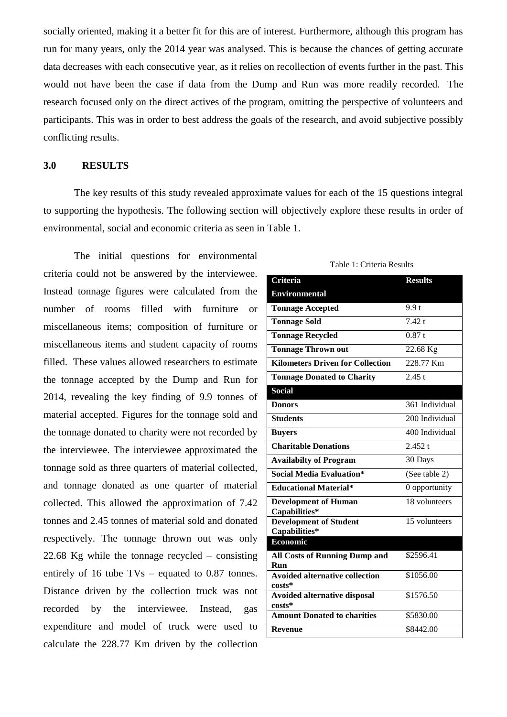socially oriented, making it a better fit for this are of interest. Furthermore, although this program has run for many years, only the 2014 year was analysed. This is because the chances of getting accurate data decreases with each consecutive year, as it relies on recollection of events further in the past. This would not have been the case if data from the Dump and Run was more readily recorded. The research focused only on the direct actives of the program, omitting the perspective of volunteers and participants. This was in order to best address the goals of the research, and avoid subjective possibly conflicting results.

#### <span id="page-15-0"></span>**3.0 RESULTS**

The key results of this study revealed approximate values for each of the 15 questions integral to supporting the hypothesis. The following section will objectively explore these results in order of environmental, social and economic criteria as seen in Table 1.

The initial questions for environmental criteria could not be answered by the interviewee. Instead tonnage figures were calculated from the number of rooms filled with furniture or miscellaneous items; composition of furniture or miscellaneous items and student capacity of rooms filled. These values allowed researchers to estimate the tonnage accepted by the Dump and Run for 2014, revealing the key finding of 9.9 tonnes of material accepted. Figures for the tonnage sold and the tonnage donated to charity were not recorded by the interviewee. The interviewee approximated the tonnage sold as three quarters of material collected, and tonnage donated as one quarter of material collected. This allowed the approximation of 7.42 tonnes and 2.45 tonnes of material sold and donated respectively. The tonnage thrown out was only 22.68 Kg while the tonnage recycled – consisting entirely of 16 tube TVs – equated to 0.87 tonnes. Distance driven by the collection truck was not recorded by the interviewee. Instead, gas expenditure and model of truck were used to calculate the 228.77 Km driven by the collection

#### Table 1: Criteria Results

| <b>Environmental</b><br>9.9 <sub>t</sub><br><b>Tonnage Accepted</b><br>7.42 t<br><b>Tonnage Sold</b><br>0.87t<br><b>Tonnage Recycled</b><br>22.68 Kg<br><b>Tonnage Thrown out</b><br>228.77 Km<br><b>Kilometers Driven for Collection</b><br>2.45 t<br><b>Tonnage Donated to Charity</b><br>Social<br>361 Individual<br><b>Donors</b><br>200 Individual<br><b>Students</b> | <b>Criteria</b> | <b>Results</b> |  |  |  |
|----------------------------------------------------------------------------------------------------------------------------------------------------------------------------------------------------------------------------------------------------------------------------------------------------------------------------------------------------------------------------|-----------------|----------------|--|--|--|
|                                                                                                                                                                                                                                                                                                                                                                            |                 |                |  |  |  |
|                                                                                                                                                                                                                                                                                                                                                                            |                 |                |  |  |  |
|                                                                                                                                                                                                                                                                                                                                                                            |                 |                |  |  |  |
|                                                                                                                                                                                                                                                                                                                                                                            |                 |                |  |  |  |
|                                                                                                                                                                                                                                                                                                                                                                            |                 |                |  |  |  |
|                                                                                                                                                                                                                                                                                                                                                                            |                 |                |  |  |  |
|                                                                                                                                                                                                                                                                                                                                                                            |                 |                |  |  |  |
|                                                                                                                                                                                                                                                                                                                                                                            |                 |                |  |  |  |
|                                                                                                                                                                                                                                                                                                                                                                            |                 |                |  |  |  |
|                                                                                                                                                                                                                                                                                                                                                                            |                 |                |  |  |  |
|                                                                                                                                                                                                                                                                                                                                                                            | <b>Buyers</b>   | 400 Individual |  |  |  |
| <b>Charitable Donations</b><br>2.452 t                                                                                                                                                                                                                                                                                                                                     |                 |                |  |  |  |
| 30 Days<br><b>Availabilty of Program</b>                                                                                                                                                                                                                                                                                                                                   |                 |                |  |  |  |
| <b>Social Media Evaluation*</b><br>(See table 2)                                                                                                                                                                                                                                                                                                                           |                 |                |  |  |  |
| <b>Educational Material*</b><br>0 opportunity                                                                                                                                                                                                                                                                                                                              |                 |                |  |  |  |
| 18 volunteers<br><b>Development of Human</b><br>Capabilities*                                                                                                                                                                                                                                                                                                              |                 |                |  |  |  |
| <b>Development of Student</b><br>15 volunteers<br>Capabilities*                                                                                                                                                                                                                                                                                                            |                 |                |  |  |  |
| <b>Economic</b>                                                                                                                                                                                                                                                                                                                                                            |                 |                |  |  |  |
| <b>All Costs of Running Dump and</b><br>\$2596.41<br>Run                                                                                                                                                                                                                                                                                                                   |                 |                |  |  |  |
| <b>Avoided alternative collection</b><br>\$1056.00<br>costs*                                                                                                                                                                                                                                                                                                               |                 |                |  |  |  |
| \$1576.50<br><b>Avoided alternative disposal</b><br>costs*                                                                                                                                                                                                                                                                                                                 |                 |                |  |  |  |
| <b>Amount Donated to charities</b><br>\$5830.00                                                                                                                                                                                                                                                                                                                            |                 |                |  |  |  |
| \$8442.00<br><b>Revenue</b>                                                                                                                                                                                                                                                                                                                                                |                 |                |  |  |  |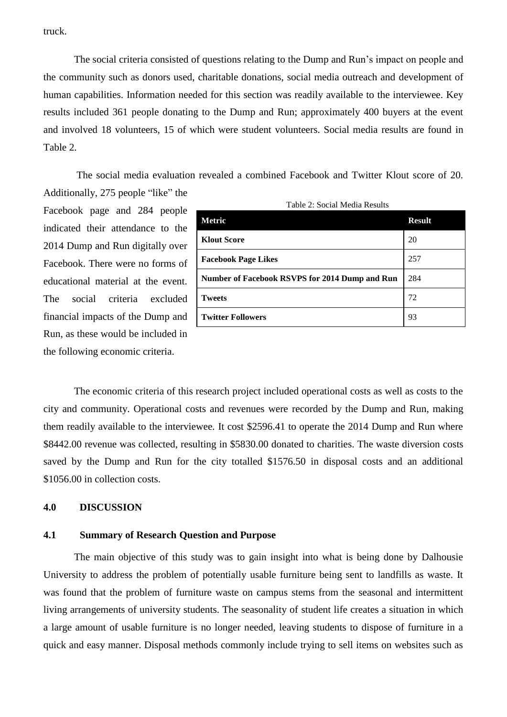truck.

The social criteria consisted of questions relating to the Dump and Run's impact on people and the community such as donors used, charitable donations, social media outreach and development of human capabilities. Information needed for this section was readily available to the interviewee. Key results included 361 people donating to the Dump and Run; approximately 400 buyers at the event and involved 18 volunteers, 15 of which were student volunteers. Social media results are found in Table 2.

The social media evaluation revealed a combined Facebook and Twitter Klout score of 20.

Additionally, 275 people "like" the Facebook page and 284 people indicated their attendance to the 2014 Dump and Run digitally over Facebook. There were no forms of educational material at the event. The social criteria excluded financial impacts of the Dump and Run, as these would be included in the following economic criteria.

| Table 2: Social Media Results                  |               |  |
|------------------------------------------------|---------------|--|
| Metric                                         | <b>Result</b> |  |
| <b>Klout Score</b>                             | 20            |  |
| <b>Facebook Page Likes</b>                     | 257           |  |
| Number of Facebook RSVPS for 2014 Dump and Run | 284           |  |
| <b>Tweets</b>                                  | 72            |  |
| <b>Twitter Followers</b>                       | 93            |  |

The economic criteria of this research project included operational costs as well as costs to the city and community. Operational costs and revenues were recorded by the Dump and Run, making them readily available to the interviewee. It cost \$2596.41 to operate the 2014 Dump and Run where \$8442.00 revenue was collected, resulting in \$5830.00 donated to charities. The waste diversion costs saved by the Dump and Run for the city totalled \$1576.50 in disposal costs and an additional \$1056.00 in collection costs.

#### <span id="page-16-0"></span>**4.0 DISCUSSION**

#### <span id="page-16-1"></span>**4.1 Summary of Research Question and Purpose**

The main objective of this study was to gain insight into what is being done by Dalhousie University to address the problem of potentially usable furniture being sent to landfills as waste. It was found that the problem of furniture waste on campus stems from the seasonal and intermittent living arrangements of university students. The seasonality of student life creates a situation in which a large amount of usable furniture is no longer needed, leaving students to dispose of furniture in a quick and easy manner. Disposal methods commonly include trying to sell items on websites such as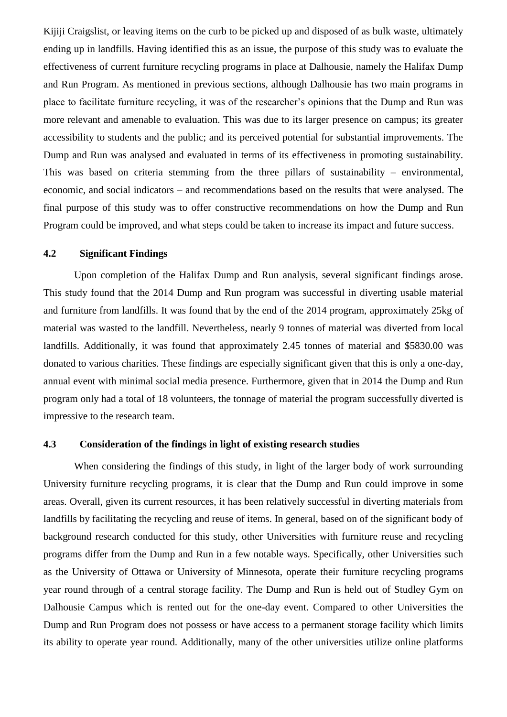Kijiji Craigslist, or leaving items on the curb to be picked up and disposed of as bulk waste, ultimately ending up in landfills. Having identified this as an issue, the purpose of this study was to evaluate the effectiveness of current furniture recycling programs in place at Dalhousie, namely the Halifax Dump and Run Program. As mentioned in previous sections, although Dalhousie has two main programs in place to facilitate furniture recycling, it was of the researcher's opinions that the Dump and Run was more relevant and amenable to evaluation. This was due to its larger presence on campus; its greater accessibility to students and the public; and its perceived potential for substantial improvements. The Dump and Run was analysed and evaluated in terms of its effectiveness in promoting sustainability. This was based on criteria stemming from the three pillars of sustainability – environmental, economic, and social indicators – and recommendations based on the results that were analysed. The final purpose of this study was to offer constructive recommendations on how the Dump and Run Program could be improved, and what steps could be taken to increase its impact and future success.

#### <span id="page-17-0"></span>**4.2 Significant Findings**

Upon completion of the Halifax Dump and Run analysis, several significant findings arose. This study found that the 2014 Dump and Run program was successful in diverting usable material and furniture from landfills. It was found that by the end of the 2014 program, approximately 25kg of material was wasted to the landfill. Nevertheless, nearly 9 tonnes of material was diverted from local landfills. Additionally, it was found that approximately 2.45 tonnes of material and \$5830.00 was donated to various charities. These findings are especially significant given that this is only a one-day, annual event with minimal social media presence. Furthermore, given that in 2014 the Dump and Run program only had a total of 18 volunteers, the tonnage of material the program successfully diverted is impressive to the research team.

#### <span id="page-17-1"></span>**4.3 Consideration of the findings in light of existing research studies**

When considering the findings of this study, in light of the larger body of work surrounding University furniture recycling programs, it is clear that the Dump and Run could improve in some areas. Overall, given its current resources, it has been relatively successful in diverting materials from landfills by facilitating the recycling and reuse of items. In general, based on of the significant body of background research conducted for this study, other Universities with furniture reuse and recycling programs differ from the Dump and Run in a few notable ways. Specifically, other Universities such as the University of Ottawa or University of Minnesota, operate their furniture recycling programs year round through of a central storage facility. The Dump and Run is held out of Studley Gym on Dalhousie Campus which is rented out for the one-day event. Compared to other Universities the Dump and Run Program does not possess or have access to a permanent storage facility which limits its ability to operate year round. Additionally, many of the other universities utilize online platforms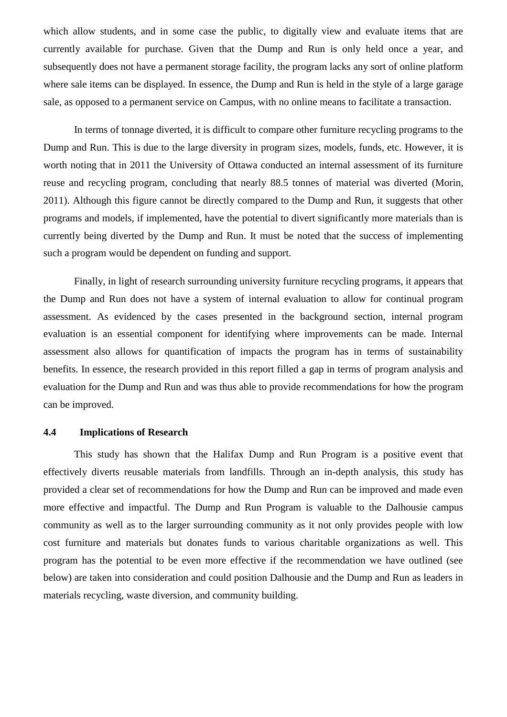which allow students, and in some case the public, to digitally view and evaluate items that are currently available for purchase. Given that the Dump and Run is only held once a year, and subsequently does not have a permanent storage facility, the program lacks any sort of online platform where sale items can be displayed. In essence, the Dump and Run is held in the style of a large garage sale, as opposed to a permanent service on Campus, with no online means to facilitate a transaction.

In terms of tonnage diverted, it is difficult to compare other furniture recycling programs to the Dump and Run. This is due to the large diversity in program sizes, models, funds, etc. However, it is worth noting that in 2011 the University of Ottawa conducted an internal assessment of its furniture reuse and recycling program, concluding that nearly 88.5 tonnes of material was diverted (Morin, 2011). Although this figure cannot be directly compared to the Dump and Run, it suggests that other programs and models, if implemented, have the potential to divert significantly more materials than is currently being diverted by the Dump and Run. It must be noted that the success of implementing such a program would be dependent on funding and support.

Finally, in light of research surrounding university furniture recycling programs, it appears that the Dump and Run does not have a system of internal evaluation to allow for continual program assessment. As evidenced by the cases presented in the background section, internal program evaluation is an essential component for identifying where improvements can be made. Internal assessment also allows for quantification of impacts the program has in terms of sustainability benefits. In essence, the research provided in this report filled a gap in terms of program analysis and evaluation for the Dump and Run and was thus able to provide recommendations for how the program can be improved.

#### <span id="page-18-0"></span>**4.4 Implications of Research**

This study has shown that the Halifax Dump and Run Program is a positive event that effectively diverts reusable materials from landfills. Through an in-depth analysis, this study has provided a clear set of recommendations for how the Dump and Run can be improved and made even more effective and impactful. The Dump and Run Program is valuable to the Dalhousie campus community as well as to the larger surrounding community as it not only provides people with low cost furniture and materials but donates funds to various charitable organizations as well. This program has the potential to be even more effective if the recommendation we have outlined (see below) are taken into consideration and could position Dalhousie and the Dump and Run as leaders in materials recycling, waste diversion, and community building.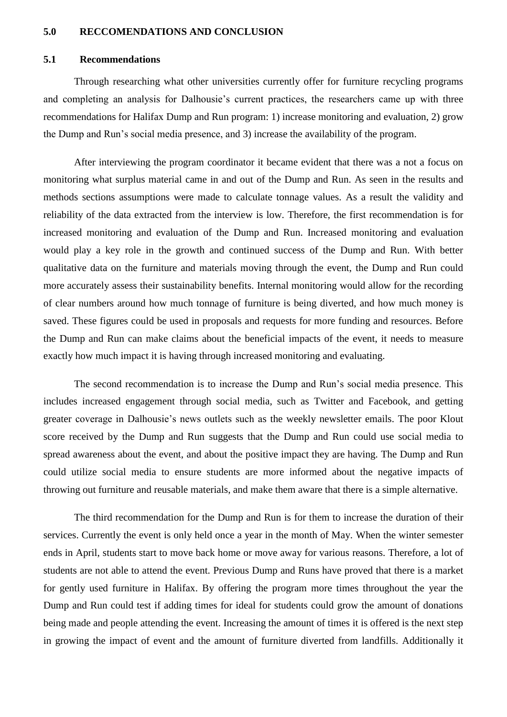#### <span id="page-19-0"></span>**5.0 RECCOMENDATIONS AND CONCLUSION**

#### <span id="page-19-1"></span>**5.1 Recommendations**

Through researching what other universities currently offer for furniture recycling programs and completing an analysis for Dalhousie's current practices, the researchers came up with three recommendations for Halifax Dump and Run program: 1) increase monitoring and evaluation, 2) grow the Dump and Run's social media presence, and 3) increase the availability of the program.

After interviewing the program coordinator it became evident that there was a not a focus on monitoring what surplus material came in and out of the Dump and Run. As seen in the results and methods sections assumptions were made to calculate tonnage values. As a result the validity and reliability of the data extracted from the interview is low. Therefore, the first recommendation is for increased monitoring and evaluation of the Dump and Run. Increased monitoring and evaluation would play a key role in the growth and continued success of the Dump and Run. With better qualitative data on the furniture and materials moving through the event, the Dump and Run could more accurately assess their sustainability benefits. Internal monitoring would allow for the recording of clear numbers around how much tonnage of furniture is being diverted, and how much money is saved. These figures could be used in proposals and requests for more funding and resources. Before the Dump and Run can make claims about the beneficial impacts of the event, it needs to measure exactly how much impact it is having through increased monitoring and evaluating.

The second recommendation is to increase the Dump and Run's social media presence. This includes increased engagement through social media, such as Twitter and Facebook, and getting greater coverage in Dalhousie's news outlets such as the weekly newsletter emails. The poor Klout score received by the Dump and Run suggests that the Dump and Run could use social media to spread awareness about the event, and about the positive impact they are having. The Dump and Run could utilize social media to ensure students are more informed about the negative impacts of throwing out furniture and reusable materials, and make them aware that there is a simple alternative.

The third recommendation for the Dump and Run is for them to increase the duration of their services. Currently the event is only held once a year in the month of May. When the winter semester ends in April, students start to move back home or move away for various reasons. Therefore, a lot of students are not able to attend the event. Previous Dump and Runs have proved that there is a market for gently used furniture in Halifax. By offering the program more times throughout the year the Dump and Run could test if adding times for ideal for students could grow the amount of donations being made and people attending the event. Increasing the amount of times it is offered is the next step in growing the impact of event and the amount of furniture diverted from landfills. Additionally it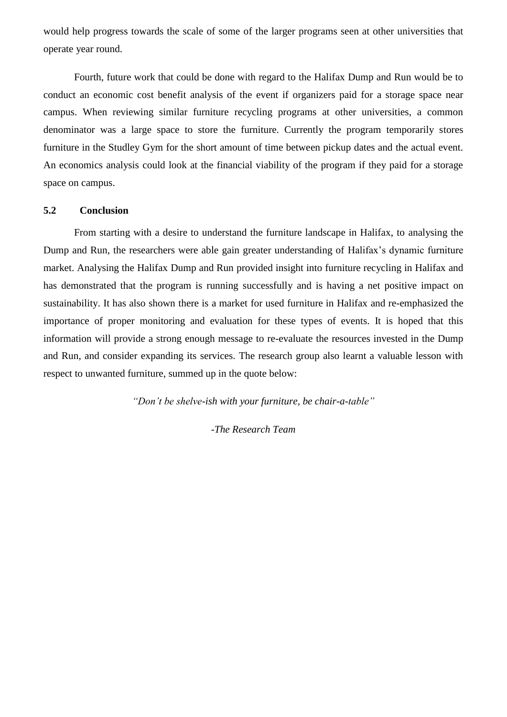would help progress towards the scale of some of the larger programs seen at other universities that operate year round.

Fourth, future work that could be done with regard to the Halifax Dump and Run would be to conduct an economic cost benefit analysis of the event if organizers paid for a storage space near campus. When reviewing similar furniture recycling programs at other universities, a common denominator was a large space to store the furniture. Currently the program temporarily stores furniture in the Studley Gym for the short amount of time between pickup dates and the actual event. An economics analysis could look at the financial viability of the program if they paid for a storage space on campus.

#### <span id="page-20-0"></span>**5.2 Conclusion**

From starting with a desire to understand the furniture landscape in Halifax, to analysing the Dump and Run, the researchers were able gain greater understanding of Halifax's dynamic furniture market. Analysing the Halifax Dump and Run provided insight into furniture recycling in Halifax and has demonstrated that the program is running successfully and is having a net positive impact on sustainability. It has also shown there is a market for used furniture in Halifax and re-emphasized the importance of proper monitoring and evaluation for these types of events. It is hoped that this information will provide a strong enough message to re-evaluate the resources invested in the Dump and Run, and consider expanding its services. The research group also learnt a valuable lesson with respect to unwanted furniture, summed up in the quote below:

<span id="page-20-1"></span>*"Don't be shelve-ish with your furniture, be chair-a-table"*

*-The Research Team*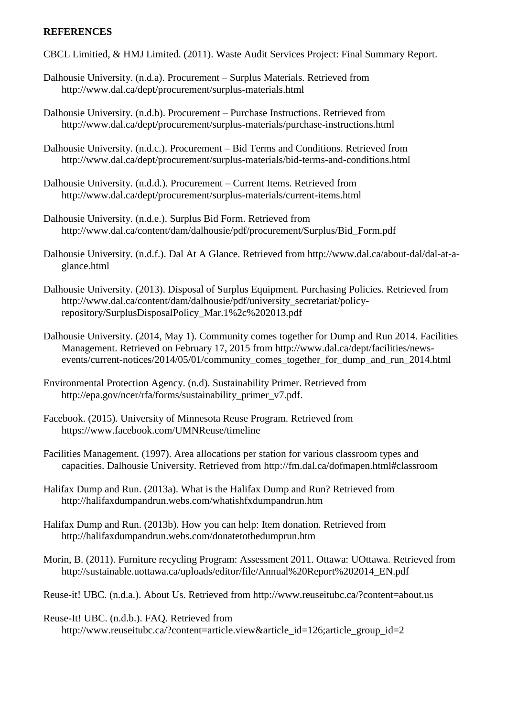#### **REFERENCES**

CBCL Limitied, & HMJ Limited. (2011). Waste Audit Services Project: Final Summary Report.

- Dalhousie University. (n.d.a). Procurement Surplus Materials. Retrieved from http://www.dal.ca/dept/procurement/surplus-materials.html
- Dalhousie University. (n.d.b). Procurement Purchase Instructions. Retrieved from http://www.dal.ca/dept/procurement/surplus-materials/purchase-instructions.html
- Dalhousie University. (n.d.c.). Procurement Bid Terms and Conditions. Retrieved from http://www.dal.ca/dept/procurement/surplus-materials/bid-terms-and-conditions.html
- Dalhousie University. (n.d.d.). Procurement Current Items. Retrieved from http://www.dal.ca/dept/procurement/surplus-materials/current-items.html
- Dalhousie University. (n.d.e.). Surplus Bid Form. Retrieved from http://www.dal.ca/content/dam/dalhousie/pdf/procurement/Surplus/Bid\_Form.pdf
- Dalhousie University. (n.d.f.). Dal At A Glance. Retrieved from http://www.dal.ca/about-dal/dal-at-aglance.html
- Dalhousie University. (2013). Disposal of Surplus Equipment. Purchasing Policies. Retrieved from http://www.dal.ca/content/dam/dalhousie/pdf/university\_secretariat/policyrepository/SurplusDisposalPolicy\_Mar.1%2c%202013.pdf
- Dalhousie University. (2014, May 1). Community comes together for Dump and Run 2014. Facilities Management. Retrieved on February 17, 2015 from http://www.dal.ca/dept/facilities/newsevents/current-notices/2014/05/01/community\_comes\_together\_for\_dump\_and\_run\_2014.html
- Environmental Protection Agency. (n.d). Sustainability Primer. Retrieved from http://epa.gov/ncer/rfa/forms/sustainability\_primer\_v7.pdf.
- Facebook. (2015). University of Minnesota Reuse Program. Retrieved from https://www.facebook.com/UMNReuse/timeline
- Facilities Management. (1997). Area allocations per station for various classroom types and capacities. Dalhousie University. Retrieved from http://fm.dal.ca/dofmapen.html#classroom
- Halifax Dump and Run. (2013a). What is the Halifax Dump and Run? Retrieved from http://halifaxdumpandrun.webs.com/whatishfxdumpandrun.htm
- Halifax Dump and Run. (2013b). How you can help: Item donation. Retrieved from http://halifaxdumpandrun.webs.com/donatetothedumprun.htm

Morin, B. (2011). Furniture recycling Program: Assessment 2011. Ottawa: UOttawa. Retrieved from http://sustainable.uottawa.ca/uploads/editor/file/Annual%20Report%202014\_EN.pdf

Reuse-it! UBC. (n.d.a.). About Us. Retrieved from http://www.reuseitubc.ca/?content=about.us

Reuse-It! UBC. (n.d.b.). FAQ. Retrieved from

http://www.reuseitubc.ca/?content=article.view&article\_id=126;article\_group\_id=2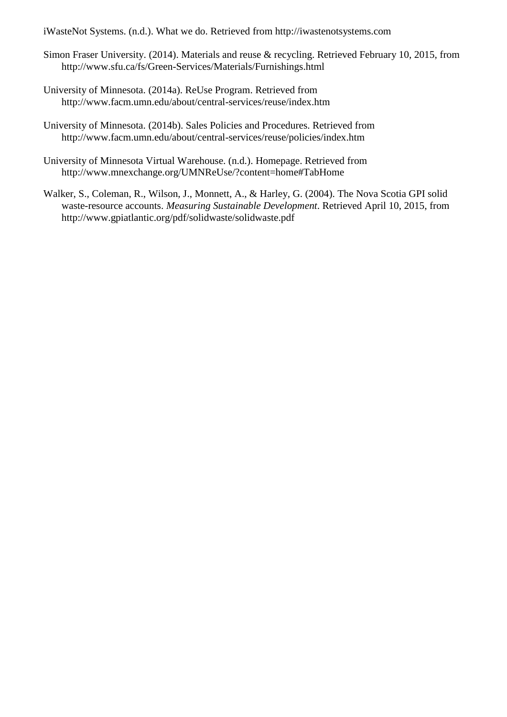iWasteNot Systems. (n.d.). What we do. Retrieved from http://iwastenotsystems.com

- Simon Fraser University. (2014). Materials and reuse & recycling. Retrieved February 10, 2015, from http://www.sfu.ca/fs/Green-Services/Materials/Furnishings.html
- University of Minnesota. (2014a). ReUse Program. Retrieved from http://www.facm.umn.edu/about/central-services/reuse/index.htm
- University of Minnesota. (2014b). Sales Policies and Procedures. Retrieved from http://www.facm.umn.edu/about/central-services/reuse/policies/index.htm
- University of Minnesota Virtual Warehouse. (n.d.). Homepage. Retrieved from http://www.mnexchange.org/UMNReUse/?content=home#TabHome
- Walker, S., Coleman, R., Wilson, J., Monnett, A., & Harley, G. (2004). The Nova Scotia GPI solid waste-resource accounts. *Measuring Sustainable Development*. Retrieved April 10, 2015, from http://www.gpiatlantic.org/pdf/solidwaste/solidwaste.pdf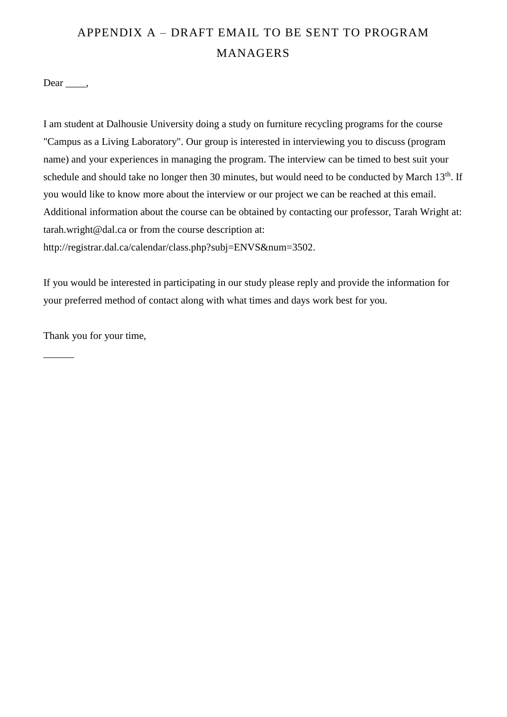## <span id="page-23-0"></span>APPENDIX A – DRAFT EMAIL TO BE SENT TO PROGRAM **MANAGERS**

 $Dear \_\_\$ 

I am student at Dalhousie University doing a study on furniture recycling programs for the course "Campus as a Living Laboratory". Our group is interested in interviewing you to discuss (program name) and your experiences in managing the program. The interview can be timed to best suit your schedule and should take no longer then 30 minutes, but would need to be conducted by March 13<sup>th</sup>. If you would like to know more about the interview or our project we can be reached at this email. Additional information about the course can be obtained by contacting our professor, Tarah Wright at: tarah.wright@dal.ca or from the course description at: http://registrar.dal.ca/calendar/class.php?subj=ENVS&num=3502.

If you would be interested in participating in our study please reply and provide the information for your preferred method of contact along with what times and days work best for you.

Thank you for your time,

 $\overline{\phantom{a}}$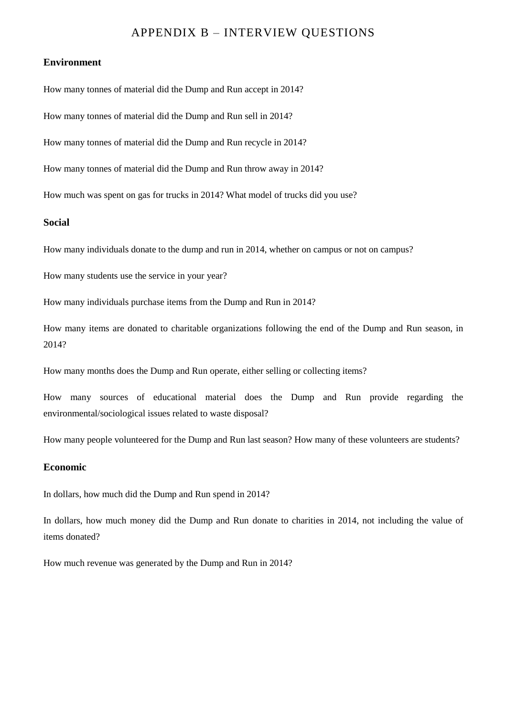### APPENDIX B – INTERVIEW QUESTIONS

#### <span id="page-24-0"></span>**Environment**

How many tonnes of material did the Dump and Run accept in 2014?

How many tonnes of material did the Dump and Run sell in 2014?

How many tonnes of material did the Dump and Run recycle in 2014?

How many tonnes of material did the Dump and Run throw away in 2014?

How much was spent on gas for trucks in 2014? What model of trucks did you use?

#### **Social**

How many individuals donate to the dump and run in 2014, whether on campus or not on campus?

How many students use the service in your year?

How many individuals purchase items from the Dump and Run in 2014?

How many items are donated to charitable organizations following the end of the Dump and Run season, in 2014?

How many months does the Dump and Run operate, either selling or collecting items?

How many sources of educational material does the Dump and Run provide regarding the environmental/sociological issues related to waste disposal?

How many people volunteered for the Dump and Run last season? How many of these volunteers are students?

#### **Economic**

In dollars, how much did the Dump and Run spend in 2014?

In dollars, how much money did the Dump and Run donate to charities in 2014, not including the value of items donated?

How much revenue was generated by the Dump and Run in 2014?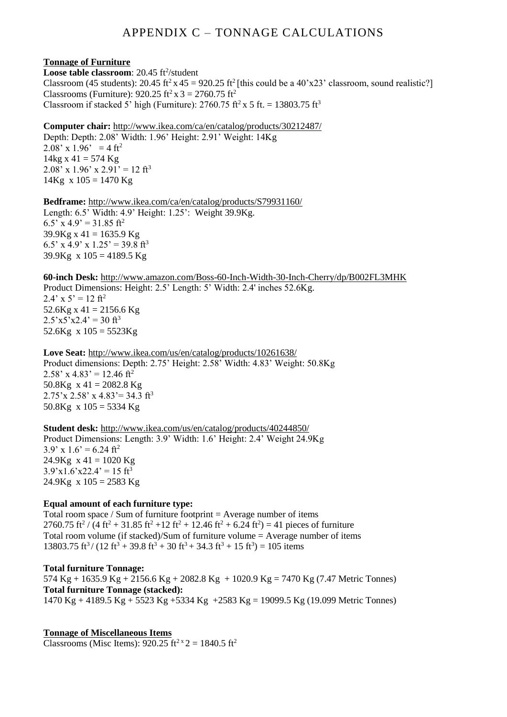## APPENDIX C – TONNAGE CALCULATIONS

#### <span id="page-25-0"></span>**Tonnage of Furniture**

Loose table classroom: 20.45 ft<sup>2</sup>/student Classroom (45 students): 20.45 ft<sup>2</sup> x 45 = 920.25 ft<sup>2</sup> [this could be a 40'x23' classroom, sound realistic?] Classrooms (Furniture):  $920.25 \text{ ft}^2 \text{ x } 3 = 2760.75 \text{ ft}^2$ Classroom if stacked 5' high (Furniture):  $2760.75$  ft<sup>2</sup> x 5 ft. = 13803.75 ft<sup>3</sup>

#### **Computer chair:** <http://www.ikea.com/ca/en/catalog/products/30212487/>

Depth: Depth: 2.08' Width: 1.96' Height: 2.91' Weight: 14Kg 2.08' x 1.96' = 4 ft<sup>2</sup>  $14kg \times 41 = 574 Kg$ 2.08' x 1.96' x 2.91' = 12 ft<sup>3</sup>  $14Kg \times 105 = 1470 Kg$ 

**Bedframe:** <http://www.ikea.com/ca/en/catalog/products/S79931160/> Length: 6.5' Width: 4.9' Height: 1.25': Weight 39.9Kg. 6.5' x 4.9' = 31.85 ft<sup>2</sup>  $39.9$ Kg x 41 = 1635.9 Kg 6.5' x 4.9' x 1.25' = 39.8 ft<sup>3</sup> 39.9Kg x  $105 = 4189.5$  Kg

**60-inch Desk:** <http://www.amazon.com/Boss-60-Inch-Width-30-Inch-Cherry/dp/B002FL3MHK> Product Dimensions: Height: 2.5' Length: 5' Width: 2.4' inches 52.6Kg.  $2.4'$  x 5' = 12 ft<sup>2</sup>  $52.6$ Kg x 41 = 2156.6 Kg  $2.5'x5'x2.4' = 30$  ft<sup>3</sup> 52.6Kg x  $105 = 5523$ Kg

**Love Seat:** <http://www.ikea.com/us/en/catalog/products/10261638/> Product dimensions: Depth: 2.75' Height: 2.58' Width: 4.83' Weight: 50.8Kg  $2.58'$  x 4.83' = 12.46 ft<sup>2</sup> 50.8Kg  $x 41 = 2082.8$  Kg  $2.75'$ x  $2.58'$  x  $4.83'$  = 34.3 ft<sup>3</sup> 50.8Kg  $x 105 = 5334$  Kg

**Student desk:** <http://www.ikea.com/us/en/catalog/products/40244850/> Product Dimensions: Length: 3.9' Width: 1.6' Height: 2.4' Weight 24.9Kg  $3.9'$  x  $1.6' = 6.24$  ft<sup>2</sup>  $24.9$ Kg x 41 = 1020 Kg  $3.9'x1.6'x22.4' = 15$  ft<sup>3</sup>  $24.9$ Kg x  $105 = 2583$  Kg

#### **Equal amount of each furniture type:**

Total room space / Sum of furniture footprint  $=$  Average number of items 2760.75 ft<sup>2</sup> / (4 ft<sup>2</sup> + 31.85 ft<sup>2</sup> + 12 ft<sup>2</sup> + 12.46 ft<sup>2</sup> + 6.24 ft<sup>2</sup>) = 41 pieces of furniture Total room volume (if stacked)/Sum of furniture volume  $=$  Average number of items  $13803.75 \text{ ft}^3 / (12 \text{ ft}^3 + 39.8 \text{ ft}^3 + 30 \text{ ft}^3 + 34.3 \text{ ft}^3 + 15 \text{ ft}^3) = 105 \text{ items}$ 

## **Total furniture Tonnage:**

574 Kg + 1635.9 Kg + 2156.6 Kg + 2082.8 Kg + 1020.9 Kg = 7470 Kg (7.47 Metric Tonnes) **Total furniture Tonnage (stacked):** 1470 Kg + 4189.5 Kg + 5523 Kg +5334 Kg +2583 Kg = 19099.5 Kg (19.099 Metric Tonnes)

**Tonnage of Miscellaneous Items** Classrooms (Misc Items):  $920.25 \text{ ft}^2 \times 2 = 1840.5 \text{ ft}^2$